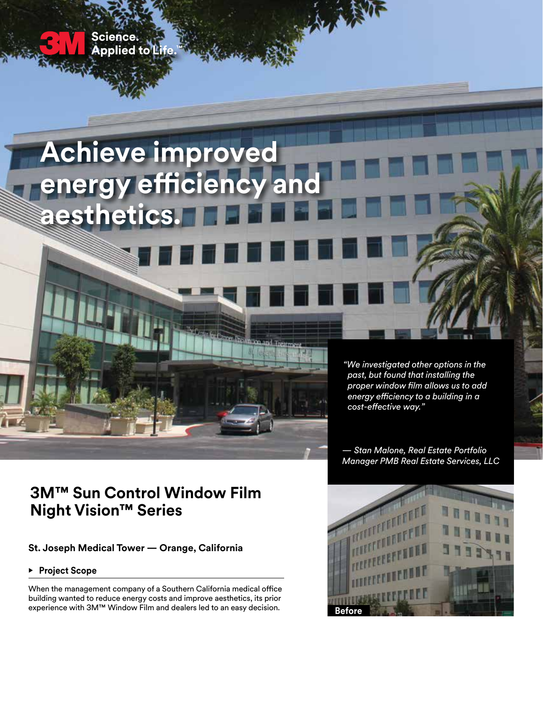

# **3M™ Sun Control Window Film Night Vision™ Series**

**St. Joseph Medical Tower — Orange, California**

**• Project Scope** 

When the management company of a Southern California medical office building wanted to reduce energy costs and improve aesthetics, its prior experience with 3M™ Window Film and dealers led to an easy decision.